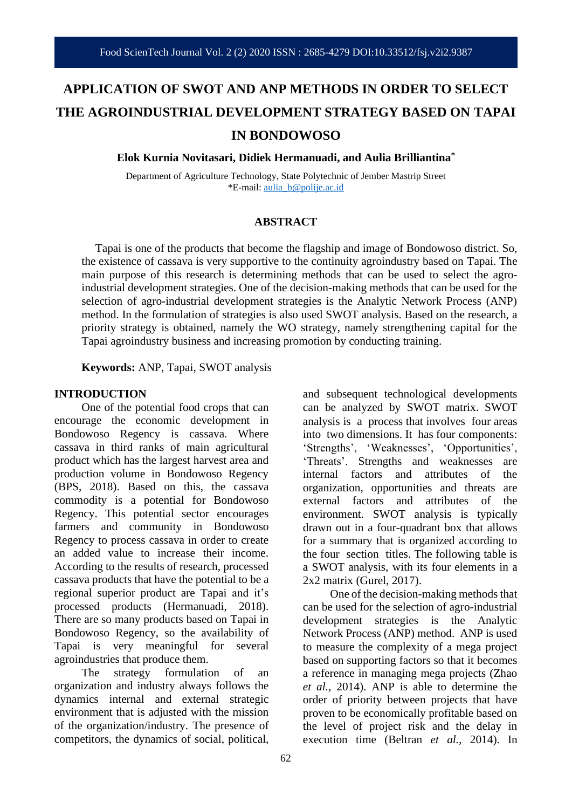# **APPLICATION OF SWOT AND ANP METHODS IN ORDER TO SELECT THE AGROINDUSTRIAL DEVELOPMENT STRATEGY BASED ON TAPAI IN BONDOWOSO**

**Elok Kurnia Novitasari, Didiek Hermanuadi, and Aulia Brilliantina\***

Department of Agriculture Technology, State Polytechnic of Jember Mastrip Street \*E-mail: [aulia\\_b@polije.ac.id](mailto:aulia_b@polije.ac.id)

#### **ABSTRACT**

Tapai is one of the products that become the flagship and image of Bondowoso district. So, the existence of cassava is very supportive to the continuity agroindustry based on Tapai. The main purpose of this research is determining methods that can be used to select the agroindustrial development strategies. One of the decision-making methods that can be used for the selection of agro-industrial development strategies is the Analytic Network Process (ANP) method. In the formulation of strategies is also used SWOT analysis. Based on the research, a priority strategy is obtained, namely the WO strategy, namely strengthening capital for the Tapai agroindustry business and increasing promotion by conducting training.

**Keywords:** ANP, Tapai, SWOT analysis

#### **INTRODUCTION**

One of the potential food crops that can encourage the economic development in Bondowoso Regency is cassava. Where cassava in third ranks of main agricultural product which has the largest harvest area and production volume in Bondowoso Regency (BPS, 2018). Based on this, the cassava commodity is a potential for Bondowoso Regency. This potential sector encourages farmers and community in Bondowoso Regency to process cassava in order to create an added value to increase their income. According to the results of research, processed cassava products that have the potential to be a regional superior product are Tapai and it's processed products (Hermanuadi, 2018). There are so many products based on Tapai in Bondowoso Regency, so the availability of Tapai is very meaningful for several agroindustries that produce them.

The strategy formulation of an organization and industry always follows the dynamics internal and external strategic environment that is adjusted with the mission of the organization/industry. The presence of competitors, the dynamics of social, political,

and subsequent technological developments can be analyzed by SWOT matrix. SWOT analysis is a process that involves four areas into two dimensions. It has four components: 'Strengths', 'Weaknesses', 'Opportunities', 'Threats'. Strengths and weaknesses are internal factors and attributes of the organization, opportunities and threats are external factors and attributes of the environment. SWOT analysis is typically drawn out in a four-quadrant box that allows for a summary that is organized according to the four section titles. The following table is a SWOT analysis, with its four elements in a 2x2 matrix (Gurel, 2017).

One of the decision-making methods that can be used for the selection of agro-industrial development strategies is the Analytic Network Process (ANP) method. ANP is used to measure the complexity of a mega project based on supporting factors so that it becomes a reference in managing mega projects (Zhao *et al.,* 2014). ANP is able to determine the order of priority between projects that have proven to be economically profitable based on the level of project risk and the delay in execution time (Beltran *et al.,* 2014). In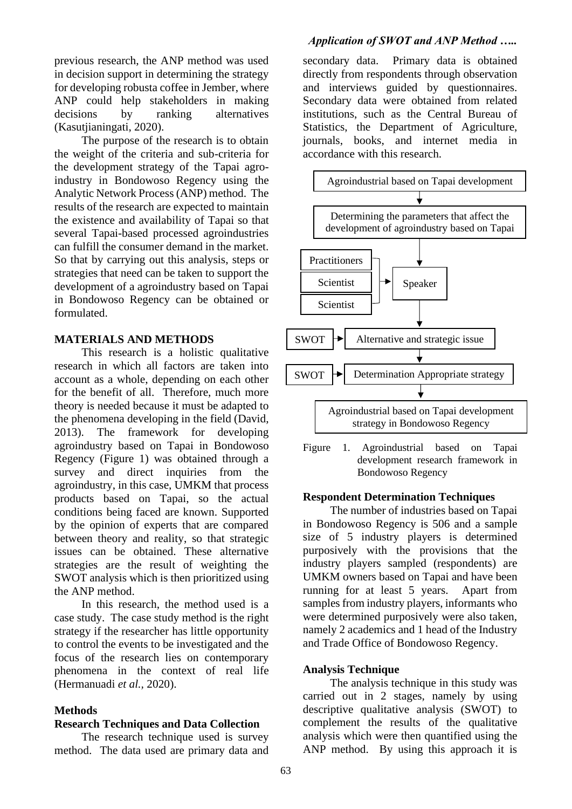previous research, the ANP method was used in decision support in determining the strategy for developing robusta coffee in Jember, where ANP could help stakeholders in making decisions by ranking alternatives (Kasutjianingati, 2020).

The purpose of the research is to obtain the weight of the criteria and sub-criteria for the development strategy of the Tapai agroindustry in Bondowoso Regency using the Analytic Network Process (ANP) method. The results of the research are expected to maintain the existence and availability of Tapai so that several Tapai-based processed agroindustries can fulfill the consumer demand in the market. So that by carrying out this analysis, steps or strategies that need can be taken to support the development of a agroindustry based on Tapai in Bondowoso Regency can be obtained or formulated.

## **MATERIALS AND METHODS**

This research is a holistic qualitative research in which all factors are taken into account as a whole, depending on each other for the benefit of all. Therefore, much more theory is needed because it must be adapted to the phenomena developing in the field (David, 2013). The framework for developing agroindustry based on Tapai in Bondowoso Regency (Figure 1) was obtained through a survey and direct inquiries from the agroindustry, in this case, UMKM that process products based on Tapai, so the actual conditions being faced are known. Supported by the opinion of experts that are compared between theory and reality, so that strategic issues can be obtained. These alternative strategies are the result of weighting the SWOT analysis which is then prioritized using the ANP method.

In this research, the method used is a case study. The case study method is the right strategy if the researcher has little opportunity to control the events to be investigated and the focus of the research lies on contemporary phenomena in the context of real life (Hermanuadi *et al.,* 2020).

## **Methods**

#### **Research Techniques and Data Collection**

The research technique used is survey method. The data used are primary data and

# *Application of SWOT and ANP Method …..*

secondary data. Primary data is obtained directly from respondents through observation and interviews guided by questionnaires. Secondary data were obtained from related institutions, such as the Central Bureau of Statistics, the Department of Agriculture, journals, books, and internet media in accordance with this research.



Figure 1. Agroindustrial based on Tapai development research framework in Bondowoso Regency

#### **Respondent Determination Techniques**

The number of industries based on Tapai in Bondowoso Regency is 506 and a sample size of 5 industry players is determined purposively with the provisions that the industry players sampled (respondents) are UMKM owners based on Tapai and have been running for at least 5 years. Apart from samples from industry players, informants who were determined purposively were also taken, namely 2 academics and 1 head of the Industry and Trade Office of Bondowoso Regency.

#### **Analysis Technique**

The analysis technique in this study was carried out in 2 stages, namely by using descriptive qualitative analysis (SWOT) to complement the results of the qualitative analysis which were then quantified using the ANP method. By using this approach it is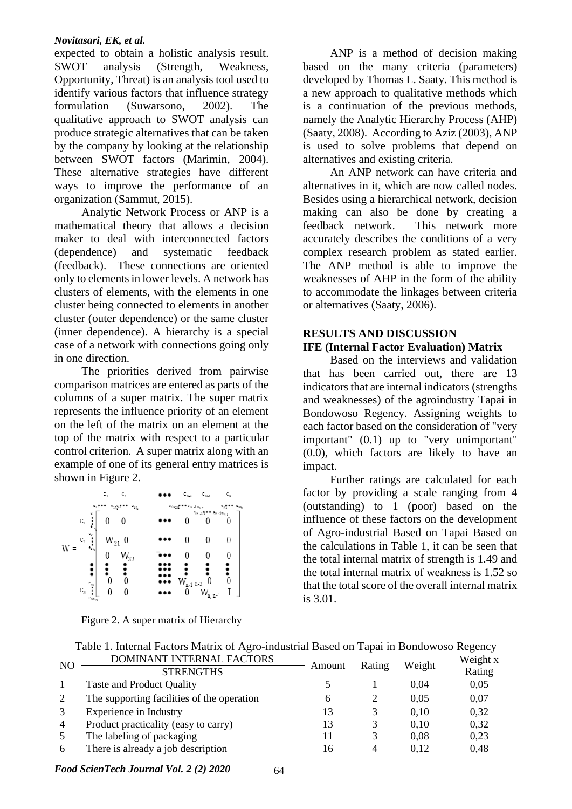### *Novitasari, EK, et al.*

expected to obtain a holistic analysis result. SWOT analysis (Strength, Weakness, Opportunity, Threat) is an analysis tool used to identify various factors that influence strategy formulation (Suwarsono, 2002). The qualitative approach to SWOT analysis can produce strategic alternatives that can be taken by the company by looking at the relationship between SWOT factors (Marimin, 2004). These alternative strategies have different ways to improve the performance of an organization (Sammut, 2015).

Analytic Network Process or ANP is a mathematical theory that allows a decision maker to deal with interconnected factors (dependence) and systematic feedback (feedback). These connections are oriented only to elements in lower levels. A network has clusters of elements, with the elements in one cluster being connected to elements in another cluster (outer dependence) or the same cluster (inner dependence). A hierarchy is a special case of a network with connections going only in one direction.

The priorities derived from pairwise comparison matrices are entered as parts of the columns of a super matrix. The super matrix represents the influence priority of an element on the left of the matrix on an element at the top of the matrix with respect to a particular control criterion. A super matrix along with an example of one of its general entry matrices is shown in Figure 2.

|                                                      | c,         | C,       | $C_{N,2}$                                                                                                                                  | $C_{N-1}$        | $C_{N}$ |
|------------------------------------------------------|------------|----------|--------------------------------------------------------------------------------------------------------------------------------------------|------------------|---------|
| $e_{11}$ a a $\bullet$<br>$e_{1n}e_{2n}$ as $e_{2n}$ |            |          | $e_{(N_2)}$ and $e_{N-2,n_{N-2}}$<br>$\mathsf{e}_{\mathsf{N-1}}\mathsf{A}^{\bullet\bullet\bullet}\mathsf{e}_{\mathsf{N-2}}_{\mathsf{N-1}}$ |                  |         |
| ę,<br>$\mathsf{C}_1$<br>$\ddot{\cdot}$               |            | 0        |                                                                                                                                            |                  |         |
| $\overset{\mathtt{e}_{\mathtt{S1}}}{\bullet}$<br>٠,  | $W_{21}$ 0 |          |                                                                                                                                            |                  |         |
|                                                      | 0          | $W_{32}$ | 0                                                                                                                                          |                  |         |
|                                                      |            |          |                                                                                                                                            |                  |         |
| $\mathsf{e}_{\rm NL}$                                |            | 0        | $W_{\text{n-1 n-2}}$                                                                                                                       | $\boldsymbol{0}$ |         |
| $\mathsf{C_{N}}$<br>$e_{\text{N}}$ .                 |            |          | 0                                                                                                                                          | $W_{n, n-1}$     |         |

Figure 2. A super matrix of Hierarchy

ANP is a method of decision making based on the many criteria (parameters) developed by Thomas L. Saaty. This method is a new approach to qualitative methods which is a continuation of the previous methods, namely the Analytic Hierarchy Process (AHP) (Saaty, 2008). According to Aziz (2003), ANP is used to solve problems that depend on alternatives and existing criteria.

An ANP network can have criteria and alternatives in it, which are now called nodes. Besides using a hierarchical network, decision making can also be done by creating a feedback network. This network more accurately describes the conditions of a very complex research problem as stated earlier. The ANP method is able to improve the weaknesses of AHP in the form of the ability to accommodate the linkages between criteria or alternatives (Saaty, 2006).

# **RESULTS AND DISCUSSION IFE (Internal Factor Evaluation) Matrix**

Based on the interviews and validation that has been carried out, there are 13 indicators that are internal indicators (strengths and weaknesses) of the agroindustry Tapai in Bondowoso Regency. Assigning weights to each factor based on the consideration of "very important" (0.1) up to "very unimportant" (0.0), which factors are likely to have an impact.

Further ratings are calculated for each factor by providing a scale ranging from 4 (outstanding) to 1 (poor) based on the influence of these factors on the development of Agro-industrial Based on Tapai Based on the calculations in Table 1, it can be seen that the total internal matrix of strength is 1.49 and the total internal matrix of weakness is 1.52 so that the total score of the overall internal matrix is 3.01.

Table 1. Internal Factors Matrix of Agro-industrial Based on Tapai in Bondowoso Regency

| NO             | DOMINANT INTERNAL FACTORS<br><b>STRENGTHS</b> | Amount | Rating | Weight | Weight x<br>Rating |
|----------------|-----------------------------------------------|--------|--------|--------|--------------------|
|                |                                               |        |        |        |                    |
|                | <b>Taste and Product Quality</b>              |        |        | 0.04   | 0,05               |
|                | The supporting facilities of the operation    | 6      |        | 0.05   | 0,07               |
|                | <b>Experience in Industry</b>                 | 13     | 3      | 0.10   | 0,32               |
| $\overline{4}$ | Product practicality (easy to carry)          | 13     |        | 0.10   | 0.32               |
|                | The labeling of packaging                     | 11     | 3      | 0.08   | 0,23               |
| 6              | There is already a job description            | 16     | 4      | 0.12   | 0,48               |

*Food ScienTech Journal Vol. 2 (2) 2020*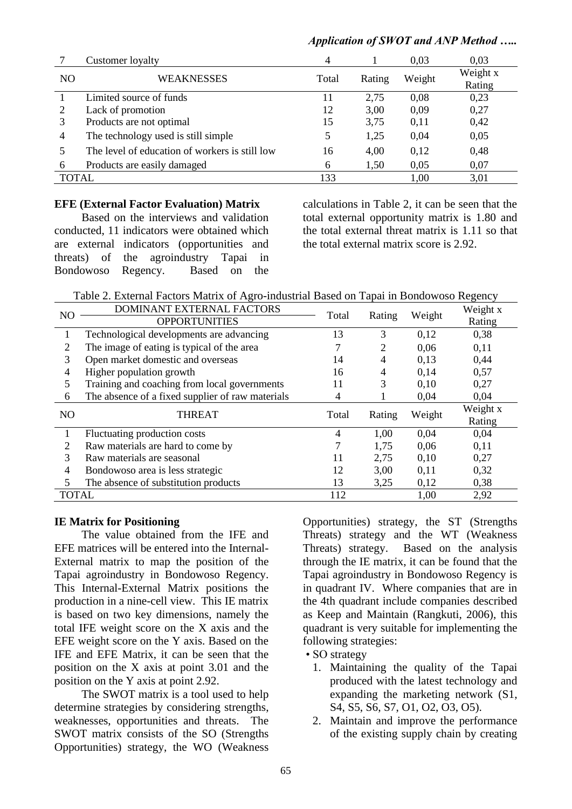# *Application of SWOT and ANP Method …..*

|                | Customer loyalty                               | 4     |        | 0.03   | 0,03     |
|----------------|------------------------------------------------|-------|--------|--------|----------|
| N <sub>O</sub> | <b>WEAKNESSES</b>                              | Total | Rating | Weight | Weight x |
|                |                                                |       |        |        | Rating   |
|                | Limited source of funds                        | 11    | 2.75   | 0,08   | 0,23     |
|                | Lack of promotion                              | 12    | 3,00   | 0,09   | 0,27     |
| 3              | Products are not optimal                       | 15    | 3,75   | 0,11   | 0,42     |
| 4              | The technology used is still simple            | 5     | 1,25   | 0,04   | 0,05     |
|                | The level of education of workers is still low | 16    | 4,00   | 0,12   | 0,48     |
| 6              | Products are easily damaged                    | 6     | 1,50   | 0,05   | 0,07     |
| TOTAL          |                                                | 133   |        | 1,00   | 3,01     |

## **EFE (External Factor Evaluation) Matrix**

Based on the interviews and validation conducted, 11 indicators were obtained which are external indicators (opportunities and threats) of the agroindustry Tapai in Bondowoso Regency. Based on the calculations in Table 2, it can be seen that the total external opportunity matrix is 1.80 and the total external threat matrix is 1.11 so that the total external matrix score is 2.92.

Table 2. External Factors Matrix of Agro-industrial Based on Tapai in Bondowoso Regency

| N <sub>O</sub>                                                                     | DOMINANT EXTERNAL FACTORS                        | Total |        |        | $\circ$<br>Weight x |
|------------------------------------------------------------------------------------|--------------------------------------------------|-------|--------|--------|---------------------|
|                                                                                    | <b>OPPORTUNITIES</b>                             |       | Rating | Weight | Rating              |
|                                                                                    | Technological developments are advancing         | 13    | 3      | 0,12   | 0,38                |
| 2                                                                                  | The image of eating is typical of the area       |       | 2      | 0,06   | 0,11                |
| 3                                                                                  | Open market domestic and overseas                | 14    | 4      | 0,13   | 0,44                |
| Higher population growth<br>4<br>Training and coaching from local governments<br>5 |                                                  | 16    | 4      | 0,14   | 0,57                |
|                                                                                    |                                                  | 11    | 3      | 0,10   | 0,27                |
| 6                                                                                  | The absence of a fixed supplier of raw materials |       |        | 0,04   | 0,04                |
| N <sub>O</sub>                                                                     | <b>THREAT</b>                                    | Total | Rating | Weight | Weight x            |
|                                                                                    |                                                  |       |        |        | Rating              |
|                                                                                    | Fluctuating production costs                     | 4     | 1,00   | 0,04   | 0,04                |
| 2                                                                                  | Raw materials are hard to come by                |       | 1,75   | 0,06   | 0,11                |
| 3                                                                                  | Raw materials are seasonal                       | 11    | 2,75   | 0,10   | 0,27                |
| 4                                                                                  | Bondowoso area is less strategic                 | 12    | 3,00   | 0.11   | 0,32                |
|                                                                                    | The absence of substitution products             | 13    | 3,25   | 0,12   | 0,38                |
| <b>TOTAL</b>                                                                       |                                                  | 112   |        | 1,00   | 2,92                |

# **IE Matrix for Positioning**

The value obtained from the IFE and EFE matrices will be entered into the Internal-External matrix to map the position of the Tapai agroindustry in Bondowoso Regency. This Internal-External Matrix positions the production in a nine-cell view. This IE matrix is based on two key dimensions, namely the total IFE weight score on the X axis and the EFE weight score on the Y axis. Based on the IFE and EFE Matrix, it can be seen that the position on the X axis at point 3.01 and the position on the Y axis at point 2.92.

The SWOT matrix is a tool used to help determine strategies by considering strengths, weaknesses, opportunities and threats. The SWOT matrix consists of the SO (Strengths Opportunities) strategy, the WO (Weakness

Opportunities) strategy, the ST (Strengths Threats) strategy and the WT (Weakness Threats) strategy. Based on the analysis through the IE matrix, it can be found that the Tapai agroindustry in Bondowoso Regency is in quadrant IV. Where companies that are in the 4th quadrant include companies described as Keep and Maintain (Rangkuti, 2006), this quadrant is very suitable for implementing the following strategies:

• SO strategy

- 1. Maintaining the quality of the Tapai produced with the latest technology and expanding the marketing network (S1, S4, S5, S6, S7, O1, O2, O3, O5).
- 2. Maintain and improve the performance of the existing supply chain by creating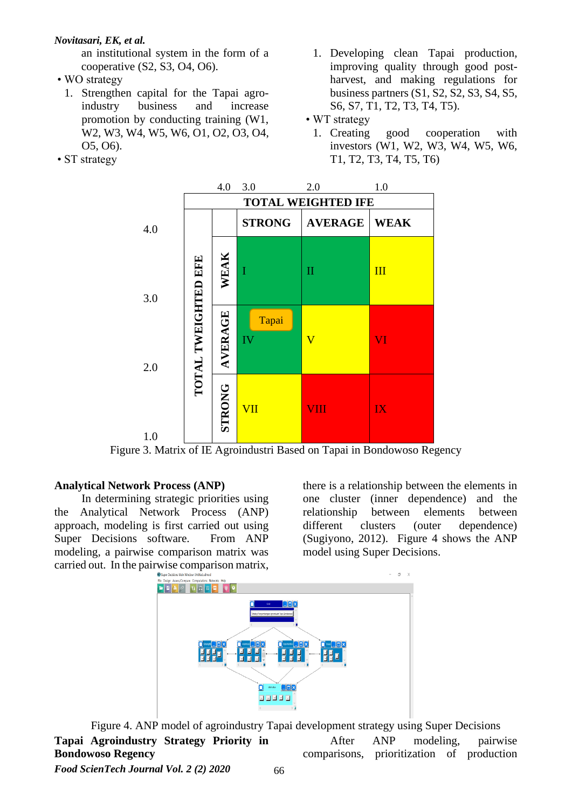# *Novitasari, EK, et al.*

an institutional system in the form of a cooperative (S2, S3, O4, O6).

- WO strategy
	- 1. Strengthen capital for the Tapai agroindustry business and increase promotion by conducting training (W1, W2, W3, W4, W5, W6, O1, O2, O3, O4, O5, O6).
- ST strategy
- 1. Developing clean Tapai production, improving quality through good postharvest, and making regulations for business partners (S1, S2, S2, S3, S4, S5, S6, S7, T1, T2, T3, T4, T5).
- WT strategy
	- 1. Creating good cooperation with investors (W1, W2, W3, W4, W5, W6, T1, T2, T3, T4, T5, T6)



Figure 3. Matrix of IE Agroindustri Based on Tapai in Bondowoso Regency

# **Analytical Network Process (ANP)**

In determining strategic priorities using the Analytical Network Process (ANP) approach, modeling is first carried out using Super Decisions software. From ANP modeling, a pairwise comparison matrix was carried out. In the pairwise comparison matrix,

there is a relationship between the elements in one cluster (inner dependence) and the relationship between elements between different clusters (outer dependence) (Sugiyono, 2012). Figure 4 shows the ANP model using Super Decisions.



Figure 4. ANP model of agroindustry Tapai development strategy using Super Decisions **Tapai Agroindustry Strategy Priority in Bondowoso Regency** After ANP modeling, pairwise comparisons, prioritization of production

*Food ScienTech Journal Vol. 2 (2) 2020*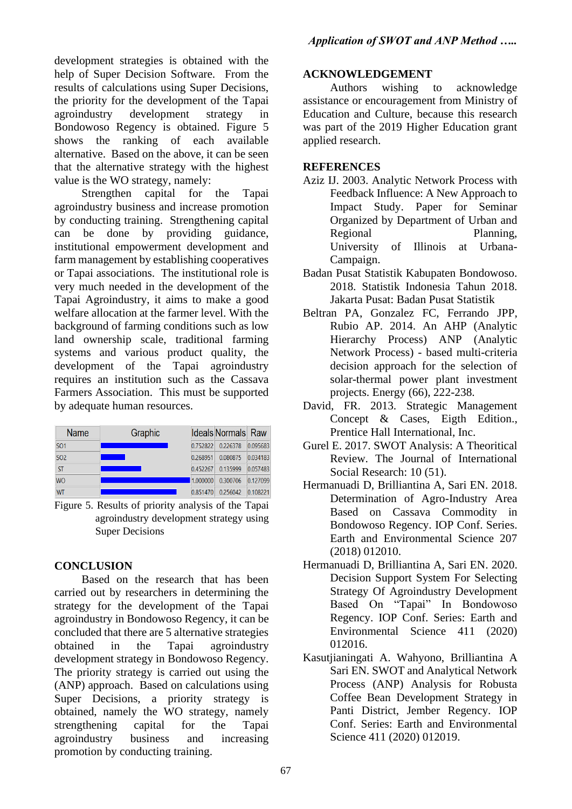development strategies is obtained with the help of Super Decision Software. From the results of calculations using Super Decisions, the priority for the development of the Tapai agroindustry development strategy in Bondowoso Regency is obtained. Figure 5 shows the ranking of each available alternative. Based on the above, it can be seen that the alternative strategy with the highest value is the WO strategy, namely:

Strengthen capital for the Tapai agroindustry business and increase promotion by conducting training. Strengthening capital can be done by providing guidance, institutional empowerment development and farm management by establishing cooperatives or Tapai associations. The institutional role is very much needed in the development of the Tapai Agroindustry, it aims to make a good welfare allocation at the farmer level. With the background of farming conditions such as low land ownership scale, traditional farming systems and various product quality, the development of the Tapai agroindustry requires an institution such as the Cassava Farmers Association. This must be supported by adequate human resources.

| <b>Name</b>     | Graphic |          | <b>Ideals Normals Raw</b> |          |
|-----------------|---------|----------|---------------------------|----------|
| SO <sub>1</sub> |         | 0.752822 | 0.226378                  | 0.095683 |
| SO <sub>2</sub> |         | 0.268951 | 0.080875                  | 0.034183 |
| <b>ST</b>       |         | 0.452267 | 0.135999                  | 0.057483 |
| <b>WO</b>       |         | 1.000000 | 0.300706                  | 0.127099 |
| <b>WT</b>       |         | 0.851470 | 0.256042                  | 0.108221 |

Figure 5. Results of priority analysis of the Tapai agroindustry development strategy using Super Decisions

# **CONCLUSION**

Based on the research that has been carried out by researchers in determining the strategy for the development of the Tapai agroindustry in Bondowoso Regency, it can be concluded that there are 5 alternative strategies obtained in the Tapai agroindustry development strategy in Bondowoso Regency. The priority strategy is carried out using the (ANP) approach. Based on calculations using Super Decisions, a priority strategy is obtained, namely the WO strategy, namely strengthening capital for the Tapai agroindustry business and increasing promotion by conducting training.

# **ACKNOWLEDGEMENT**

Authors wishing to acknowledge assistance or encouragement from Ministry of Education and Culture, because this research was part of the 2019 Higher Education grant applied research.

# **REFERENCES**

- Aziz IJ. 2003. Analytic Network Process with Feedback Influence: A New Approach to Impact Study. Paper for Seminar Organized by Department of Urban and Regional Planning, University of Illinois at Urbana-Campaign.
- Badan Pusat Statistik Kabupaten Bondowoso. 2018. Statistik Indonesia Tahun 2018. Jakarta Pusat: Badan Pusat Statistik
- Beltran PA, Gonzalez FC, Ferrando JPP, Rubio AP. 2014. An AHP (Analytic Hierarchy Process) ANP (Analytic Network Process) - based multi-criteria decision approach for the selection of solar-thermal power plant investment projects. Energy (66), 222-238.
- David, FR. 2013. Strategic Management Concept & Cases, Eigth Edition., Prentice Hall International, Inc.
- Gurel E. 2017. SWOT Analysis: A Theoritical Review. The Journal of International Social Research: 10 (51).
- Hermanuadi D, Brilliantina A, Sari EN. 2018. Determination of Agro-Industry Area Based on Cassava Commodity in Bondowoso Regency. IOP Conf. Series. Earth and Environmental Science 207 (2018) 012010.
- Hermanuadi D, Brilliantina A, Sari EN. 2020. Decision Support System For Selecting Strategy Of Agroindustry Development Based On "Tapai" In Bondowoso Regency. IOP Conf. Series: Earth and Environmental Science 411 (2020) 012016.
- Kasutjianingati A. Wahyono, Brilliantina A Sari EN. SWOT and Analytical Network Process (ANP) Analysis for Robusta Coffee Bean Development Strategy in Panti District, Jember Regency. IOP Conf. Series: Earth and Environmental Science 411 (2020) 012019.